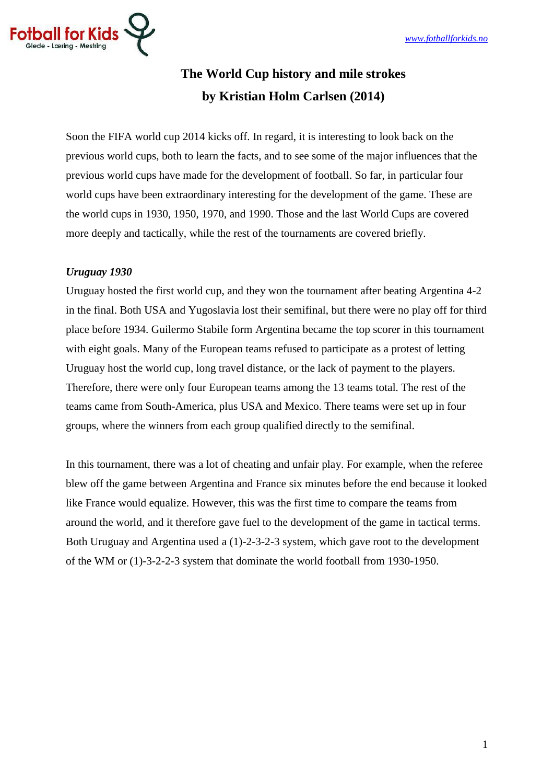

# **The World Cup history and mile strokes by Kristian Holm Carlsen (2014)**

Soon the FIFA world cup 2014 kicks off. In regard, it is interesting to look back on the previous world cups, both to learn the facts, and to see some of the major influences that the previous world cups have made for the development of football. So far, in particular four world cups have been extraordinary interesting for the development of the game. These are the world cups in 1930, 1950, 1970, and 1990. Those and the last World Cups are covered more deeply and tactically, while the rest of the tournaments are covered briefly.

## *Uruguay 1930*

Uruguay hosted the first world cup, and they won the tournament after beating Argentina 4-2 in the final. Both USA and Yugoslavia lost their semifinal, but there were no play off for third place before 1934. Guilermo Stabile form Argentina became the top scorer in this tournament with eight goals. Many of the European teams refused to participate as a protest of letting Uruguay host the world cup, long travel distance, or the lack of payment to the players. Therefore, there were only four European teams among the 13 teams total. The rest of the teams came from South-America, plus USA and Mexico. There teams were set up in four groups, where the winners from each group qualified directly to the semifinal.

In this tournament, there was a lot of cheating and unfair play. For example, when the referee blew off the game between Argentina and France six minutes before the end because it looked like France would equalize. However, this was the first time to compare the teams from around the world, and it therefore gave fuel to the development of the game in tactical terms. Both Uruguay and Argentina used a (1)-2-3-2-3 system, which gave root to the development of the WM or (1)-3-2-2-3 system that dominate the world football from 1930-1950.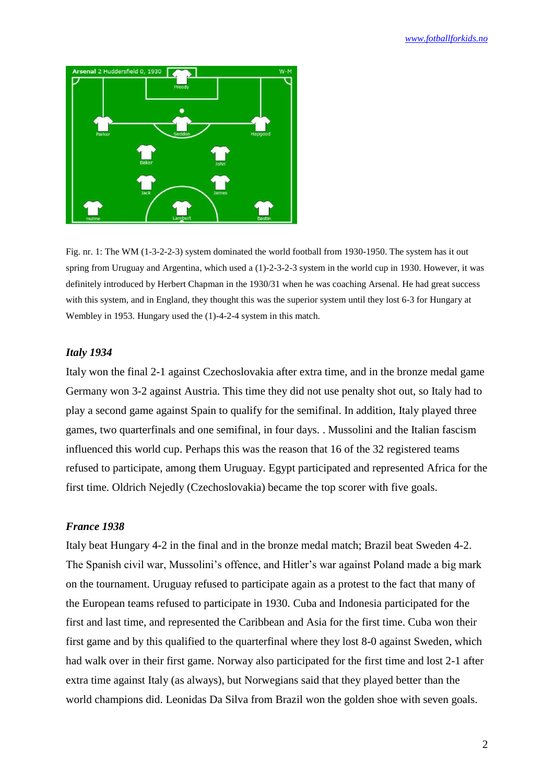

Fig. nr. 1: The WM (1-3-2-2-3) system dominated the world football from 1930-1950. The system has it out spring from Uruguay and Argentina, which used a (1)-2-3-2-3 system in the world cup in 1930. However, it was definitely introduced by Herbert Chapman in the 1930/31 when he was coaching Arsenal. He had great success with this system, and in England, they thought this was the superior system until they lost 6-3 for Hungary at Wembley in 1953. Hungary used the (1)-4-2-4 system in this match.

## *Italy 1934*

Italy won the final 2-1 against Czechoslovakia after extra time, and in the bronze medal game Germany won 3-2 against Austria. This time they did not use penalty shot out, so Italy had to play a second game against Spain to qualify for the semifinal. In addition, Italy played three games, two quarterfinals and one semifinal, in four days. . Mussolini and the Italian fascism influenced this world cup. Perhaps this was the reason that 16 of the 32 registered teams refused to participate, among them Uruguay. Egypt participated and represented Africa for the first time. Oldrich Nejedly (Czechoslovakia) became the top scorer with five goals.

## *France 1938*

Italy beat Hungary 4-2 in the final and in the bronze medal match; Brazil beat Sweden 4-2. The Spanish civil war, Mussolini's offence, and Hitler's war against Poland made a big mark on the tournament. Uruguay refused to participate again as a protest to the fact that many of the European teams refused to participate in 1930. Cuba and Indonesia participated for the first and last time, and represented the Caribbean and Asia for the first time. Cuba won their first game and by this qualified to the quarterfinal where they lost 8-0 against Sweden, which had walk over in their first game. Norway also participated for the first time and lost 2-1 after extra time against Italy (as always), but Norwegians said that they played better than the world champions did. Leonidas Da Silva from Brazil won the golden shoe with seven goals.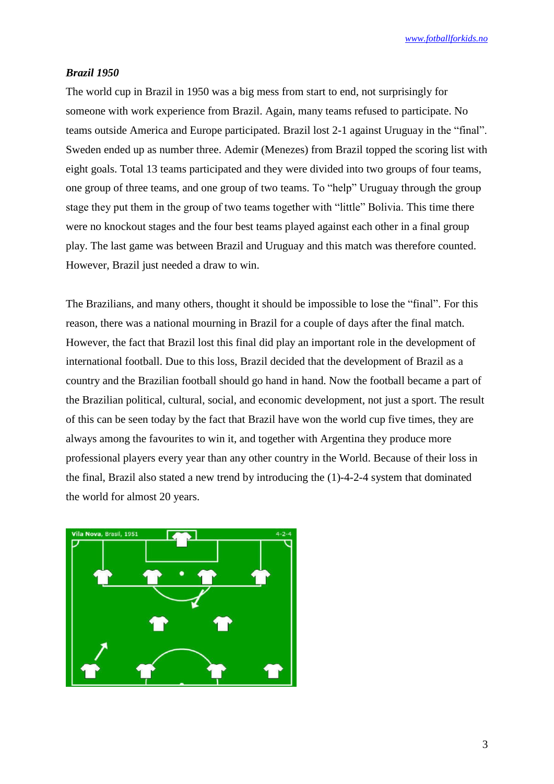## *Brazil 1950*

The world cup in Brazil in 1950 was a big mess from start to end, not surprisingly for someone with work experience from Brazil. Again, many teams refused to participate. No teams outside America and Europe participated. Brazil lost 2-1 against Uruguay in the "final". Sweden ended up as number three. Ademir (Menezes) from Brazil topped the scoring list with eight goals. Total 13 teams participated and they were divided into two groups of four teams, one group of three teams, and one group of two teams. To "help" Uruguay through the group stage they put them in the group of two teams together with "little" Bolivia. This time there were no knockout stages and the four best teams played against each other in a final group play. The last game was between Brazil and Uruguay and this match was therefore counted. However, Brazil just needed a draw to win.

The Brazilians, and many others, thought it should be impossible to lose the "final". For this reason, there was a national mourning in Brazil for a couple of days after the final match. However, the fact that Brazil lost this final did play an important role in the development of international football. Due to this loss, Brazil decided that the development of Brazil as a country and the Brazilian football should go hand in hand. Now the football became a part of the Brazilian political, cultural, social, and economic development, not just a sport. The result of this can be seen today by the fact that Brazil have won the world cup five times, they are always among the favourites to win it, and together with Argentina they produce more professional players every year than any other country in the World. Because of their loss in the final, Brazil also stated a new trend by introducing the (1)-4-2-4 system that dominated the world for almost 20 years.

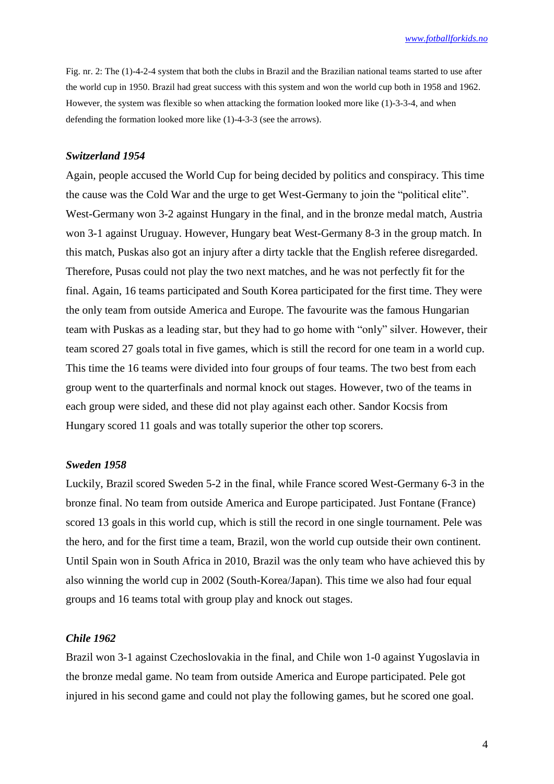Fig. nr. 2: The (1)-4-2-4 system that both the clubs in Brazil and the Brazilian national teams started to use after the world cup in 1950. Brazil had great success with this system and won the world cup both in 1958 and 1962. However, the system was flexible so when attacking the formation looked more like (1)-3-3-4, and when defending the formation looked more like (1)-4-3-3 (see the arrows).

## *Switzerland 1954*

Again, people accused the World Cup for being decided by politics and conspiracy. This time the cause was the Cold War and the urge to get West-Germany to join the "political elite". West-Germany won 3-2 against Hungary in the final, and in the bronze medal match, Austria won 3-1 against Uruguay. However, Hungary beat West-Germany 8-3 in the group match. In this match, Puskas also got an injury after a dirty tackle that the English referee disregarded. Therefore, Pusas could not play the two next matches, and he was not perfectly fit for the final. Again, 16 teams participated and South Korea participated for the first time. They were the only team from outside America and Europe. The favourite was the famous Hungarian team with Puskas as a leading star, but they had to go home with "only" silver. However, their team scored 27 goals total in five games, which is still the record for one team in a world cup. This time the 16 teams were divided into four groups of four teams. The two best from each group went to the quarterfinals and normal knock out stages. However, two of the teams in each group were sided, and these did not play against each other. Sandor Kocsis from Hungary scored 11 goals and was totally superior the other top scorers.

#### *Sweden 1958*

Luckily, Brazil scored Sweden 5-2 in the final, while France scored West-Germany 6-3 in the bronze final. No team from outside America and Europe participated. Just Fontane (France) scored 13 goals in this world cup, which is still the record in one single tournament. Pele was the hero, and for the first time a team, Brazil, won the world cup outside their own continent. Until Spain won in South Africa in 2010, Brazil was the only team who have achieved this by also winning the world cup in 2002 (South-Korea/Japan). This time we also had four equal groups and 16 teams total with group play and knock out stages.

## *Chile 1962*

Brazil won 3-1 against Czechoslovakia in the final, and Chile won 1-0 against Yugoslavia in the bronze medal game. No team from outside America and Europe participated. Pele got injured in his second game and could not play the following games, but he scored one goal.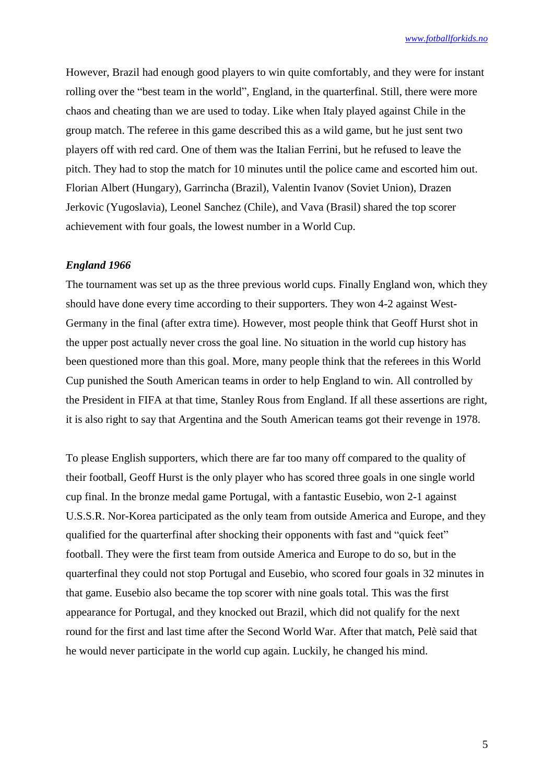However, Brazil had enough good players to win quite comfortably, and they were for instant rolling over the "best team in the world", England, in the quarterfinal. Still, there were more chaos and cheating than we are used to today. Like when Italy played against Chile in the group match. The referee in this game described this as a wild game, but he just sent two players off with red card. One of them was the Italian Ferrini, but he refused to leave the pitch. They had to stop the match for 10 minutes until the police came and escorted him out. Florian Albert (Hungary), Garrincha (Brazil), Valentin Ivanov (Soviet Union), Drazen Jerkovic (Yugoslavia), Leonel Sanchez (Chile), and Vava (Brasil) shared the top scorer achievement with four goals, the lowest number in a World Cup.

## *England 1966*

The tournament was set up as the three previous world cups. Finally England won, which they should have done every time according to their supporters. They won 4-2 against West-Germany in the final (after extra time). However, most people think that Geoff Hurst shot in the upper post actually never cross the goal line. No situation in the world cup history has been questioned more than this goal. More, many people think that the referees in this World Cup punished the South American teams in order to help England to win. All controlled by the President in FIFA at that time, Stanley Rous from England. If all these assertions are right, it is also right to say that Argentina and the South American teams got their revenge in 1978.

To please English supporters, which there are far too many off compared to the quality of their football, Geoff Hurst is the only player who has scored three goals in one single world cup final. In the bronze medal game Portugal, with a fantastic Eusebio, won 2-1 against U.S.S.R. Nor-Korea participated as the only team from outside America and Europe, and they qualified for the quarterfinal after shocking their opponents with fast and "quick feet" football. They were the first team from outside America and Europe to do so, but in the quarterfinal they could not stop Portugal and Eusebio, who scored four goals in 32 minutes in that game. Eusebio also became the top scorer with nine goals total. This was the first appearance for Portugal, and they knocked out Brazil, which did not qualify for the next round for the first and last time after the Second World War. After that match, Pelè said that he would never participate in the world cup again. Luckily, he changed his mind.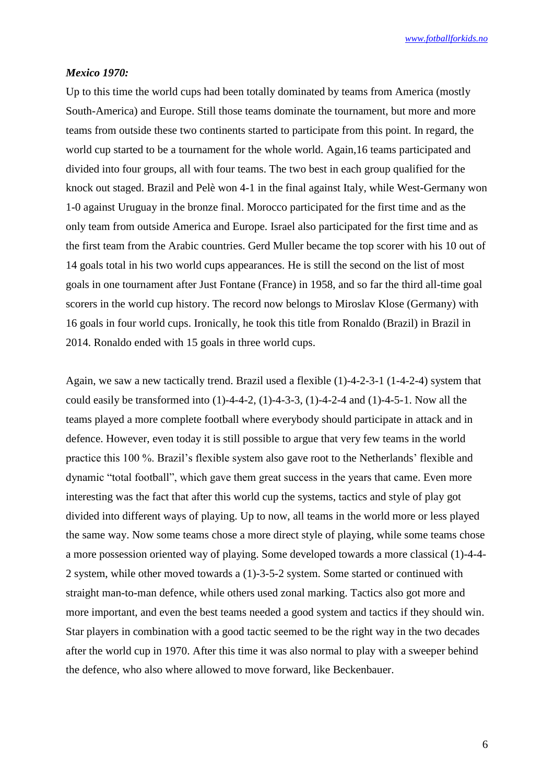## *Mexico 1970:*

Up to this time the world cups had been totally dominated by teams from America (mostly South-America) and Europe. Still those teams dominate the tournament, but more and more teams from outside these two continents started to participate from this point. In regard, the world cup started to be a tournament for the whole world. Again,16 teams participated and divided into four groups, all with four teams. The two best in each group qualified for the knock out staged. Brazil and Pelè won 4-1 in the final against Italy, while West-Germany won 1-0 against Uruguay in the bronze final. Morocco participated for the first time and as the only team from outside America and Europe. Israel also participated for the first time and as the first team from the Arabic countries. Gerd Muller became the top scorer with his 10 out of 14 goals total in his two world cups appearances. He is still the second on the list of most goals in one tournament after Just Fontane (France) in 1958, and so far the third all-time goal scorers in the world cup history. The record now belongs to Miroslav Klose (Germany) with 16 goals in four world cups. Ironically, he took this title from Ronaldo (Brazil) in Brazil in 2014. Ronaldo ended with 15 goals in three world cups.

Again, we saw a new tactically trend. Brazil used a flexible (1)-4-2-3-1 (1-4-2-4) system that could easily be transformed into  $(1)$ -4-4-2,  $(1)$ -4-3-3,  $(1)$ -4-2-4 and  $(1)$ -4-5-1. Now all the teams played a more complete football where everybody should participate in attack and in defence. However, even today it is still possible to argue that very few teams in the world practice this 100 %. Brazil's flexible system also gave root to the Netherlands' flexible and dynamic "total football", which gave them great success in the years that came. Even more interesting was the fact that after this world cup the systems, tactics and style of play got divided into different ways of playing. Up to now, all teams in the world more or less played the same way. Now some teams chose a more direct style of playing, while some teams chose a more possession oriented way of playing. Some developed towards a more classical (1)-4-4- 2 system, while other moved towards a (1)-3-5-2 system. Some started or continued with straight man-to-man defence, while others used zonal marking. Tactics also got more and more important, and even the best teams needed a good system and tactics if they should win. Star players in combination with a good tactic seemed to be the right way in the two decades after the world cup in 1970. After this time it was also normal to play with a sweeper behind the defence, who also where allowed to move forward, like Beckenbauer.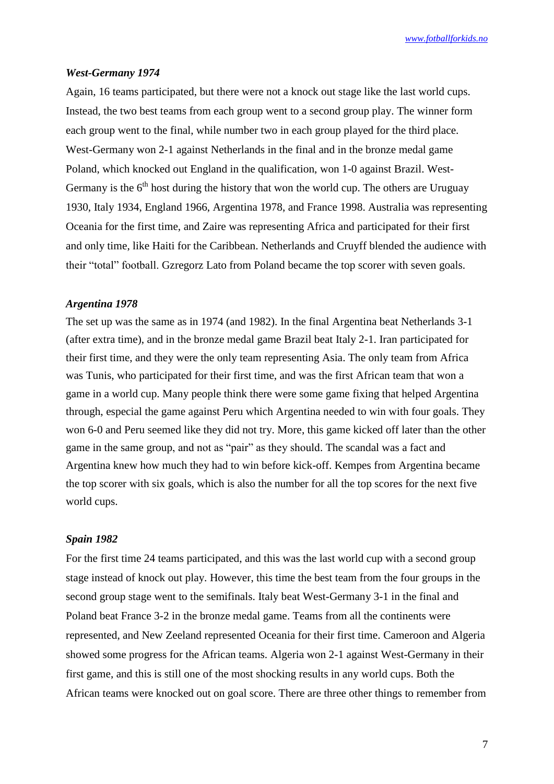### *West-Germany 1974*

Again, 16 teams participated, but there were not a knock out stage like the last world cups. Instead, the two best teams from each group went to a second group play. The winner form each group went to the final, while number two in each group played for the third place. West-Germany won 2-1 against Netherlands in the final and in the bronze medal game Poland, which knocked out England in the qualification, won 1-0 against Brazil. West-Germany is the  $6<sup>th</sup>$  host during the history that won the world cup. The others are Uruguay 1930, Italy 1934, England 1966, Argentina 1978, and France 1998. Australia was representing Oceania for the first time, and Zaire was representing Africa and participated for their first and only time, like Haiti for the Caribbean. Netherlands and Cruyff blended the audience with their "total" football. Gzregorz Lato from Poland became the top scorer with seven goals.

## *Argentina 1978*

The set up was the same as in 1974 (and 1982). In the final Argentina beat Netherlands 3-1 (after extra time), and in the bronze medal game Brazil beat Italy 2-1. Iran participated for their first time, and they were the only team representing Asia. The only team from Africa was Tunis, who participated for their first time, and was the first African team that won a game in a world cup. Many people think there were some game fixing that helped Argentina through, especial the game against Peru which Argentina needed to win with four goals. They won 6-0 and Peru seemed like they did not try. More, this game kicked off later than the other game in the same group, and not as "pair" as they should. The scandal was a fact and Argentina knew how much they had to win before kick-off. Kempes from Argentina became the top scorer with six goals, which is also the number for all the top scores for the next five world cups.

## *Spain 1982*

For the first time 24 teams participated, and this was the last world cup with a second group stage instead of knock out play. However, this time the best team from the four groups in the second group stage went to the semifinals. Italy beat West-Germany 3-1 in the final and Poland beat France 3-2 in the bronze medal game. Teams from all the continents were represented, and New Zeeland represented Oceania for their first time. Cameroon and Algeria showed some progress for the African teams. Algeria won 2-1 against West-Germany in their first game, and this is still one of the most shocking results in any world cups. Both the African teams were knocked out on goal score. There are three other things to remember from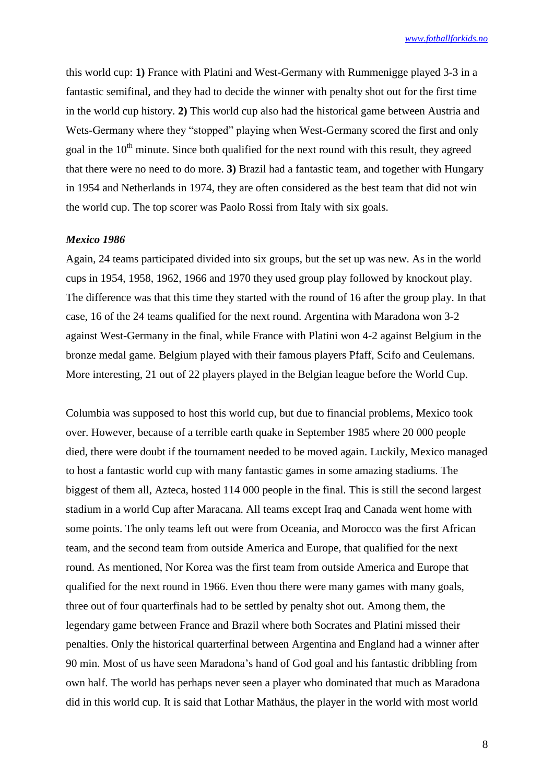this world cup: **1)** France with Platini and West-Germany with Rummenigge played 3-3 in a fantastic semifinal, and they had to decide the winner with penalty shot out for the first time in the world cup history. **2)** This world cup also had the historical game between Austria and Wets-Germany where they "stopped" playing when West-Germany scored the first and only goal in the  $10<sup>th</sup>$  minute. Since both qualified for the next round with this result, they agreed that there were no need to do more. **3)** Brazil had a fantastic team, and together with Hungary in 1954 and Netherlands in 1974, they are often considered as the best team that did not win the world cup. The top scorer was Paolo Rossi from Italy with six goals.

## *Mexico 1986*

Again, 24 teams participated divided into six groups, but the set up was new. As in the world cups in 1954, 1958, 1962, 1966 and 1970 they used group play followed by knockout play. The difference was that this time they started with the round of 16 after the group play. In that case, 16 of the 24 teams qualified for the next round. Argentina with Maradona won 3-2 against West-Germany in the final, while France with Platini won 4-2 against Belgium in the bronze medal game. Belgium played with their famous players Pfaff, Scifo and Ceulemans. More interesting, 21 out of 22 players played in the Belgian league before the World Cup.

Columbia was supposed to host this world cup, but due to financial problems, Mexico took over. However, because of a terrible earth quake in September 1985 where 20 000 people died, there were doubt if the tournament needed to be moved again. Luckily, Mexico managed to host a fantastic world cup with many fantastic games in some amazing stadiums. The biggest of them all, Azteca, hosted 114 000 people in the final. This is still the second largest stadium in a world Cup after Maracana. All teams except Iraq and Canada went home with some points. The only teams left out were from Oceania, and Morocco was the first African team, and the second team from outside America and Europe, that qualified for the next round. As mentioned, Nor Korea was the first team from outside America and Europe that qualified for the next round in 1966. Even thou there were many games with many goals, three out of four quarterfinals had to be settled by penalty shot out. Among them, the legendary game between France and Brazil where both Socrates and Platini missed their penalties. Only the historical quarterfinal between Argentina and England had a winner after 90 min. Most of us have seen Maradona's hand of God goal and his fantastic dribbling from own half. The world has perhaps never seen a player who dominated that much as Maradona did in this world cup. It is said that Lothar Mathäus, the player in the world with most world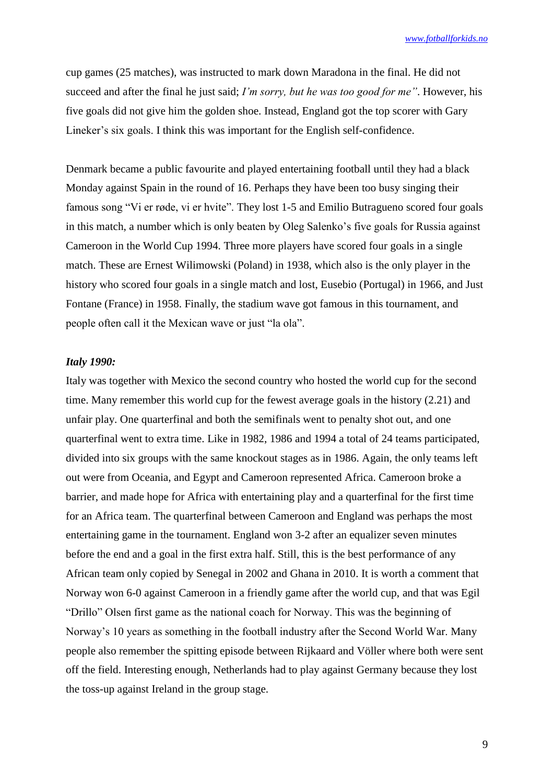cup games (25 matches), was instructed to mark down Maradona in the final. He did not succeed and after the final he just said; *I'm sorry, but he was too good for me"*. However, his five goals did not give him the golden shoe. Instead, England got the top scorer with Gary Lineker's six goals. I think this was important for the English self-confidence.

Denmark became a public favourite and played entertaining football until they had a black Monday against Spain in the round of 16. Perhaps they have been too busy singing their famous song "Vi er røde, vi er hvite". They lost 1-5 and Emilio Butragueno scored four goals in this match, a number which is only beaten by Oleg Salenko's five goals for Russia against Cameroon in the World Cup 1994. Three more players have scored four goals in a single match. These are Ernest Wilimowski (Poland) in 1938, which also is the only player in the history who scored four goals in a single match and lost, Eusebio (Portugal) in 1966, and Just Fontane (France) in 1958. Finally, the stadium wave got famous in this tournament, and people often call it the Mexican wave or just "la ola".

## *Italy 1990:*

Italy was together with Mexico the second country who hosted the world cup for the second time. Many remember this world cup for the fewest average goals in the history (2.21) and unfair play. One quarterfinal and both the semifinals went to penalty shot out, and one quarterfinal went to extra time. Like in 1982, 1986 and 1994 a total of 24 teams participated, divided into six groups with the same knockout stages as in 1986. Again, the only teams left out were from Oceania, and Egypt and Cameroon represented Africa. Cameroon broke a barrier, and made hope for Africa with entertaining play and a quarterfinal for the first time for an Africa team. The quarterfinal between Cameroon and England was perhaps the most entertaining game in the tournament. England won 3-2 after an equalizer seven minutes before the end and a goal in the first extra half. Still, this is the best performance of any African team only copied by Senegal in 2002 and Ghana in 2010. It is worth a comment that Norway won 6-0 against Cameroon in a friendly game after the world cup, and that was Egil "Drillo" Olsen first game as the national coach for Norway. This was the beginning of Norway's 10 years as something in the football industry after the Second World War. Many people also remember the spitting episode between Rijkaard and Völler where both were sent off the field. Interesting enough, Netherlands had to play against Germany because they lost the toss-up against Ireland in the group stage.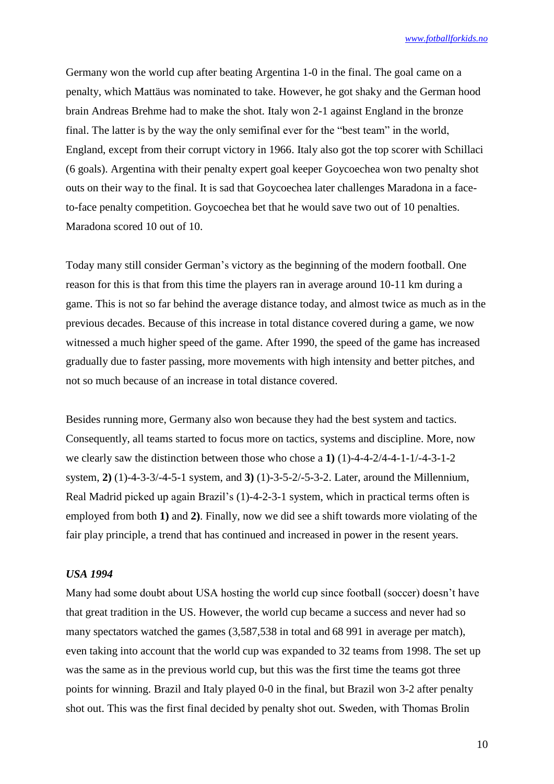Germany won the world cup after beating Argentina 1-0 in the final. The goal came on a penalty, which Mattäus was nominated to take. However, he got shaky and the German hood brain Andreas Brehme had to make the shot. Italy won 2-1 against England in the bronze final. The latter is by the way the only semifinal ever for the "best team" in the world, England, except from their corrupt victory in 1966. Italy also got the top scorer with Schillaci (6 goals). Argentina with their penalty expert goal keeper Goycoechea won two penalty shot outs on their way to the final. It is sad that Goycoechea later challenges Maradona in a faceto-face penalty competition. Goycoechea bet that he would save two out of 10 penalties. Maradona scored 10 out of 10.

Today many still consider German's victory as the beginning of the modern football. One reason for this is that from this time the players ran in average around 10-11 km during a game. This is not so far behind the average distance today, and almost twice as much as in the previous decades. Because of this increase in total distance covered during a game, we now witnessed a much higher speed of the game. After 1990, the speed of the game has increased gradually due to faster passing, more movements with high intensity and better pitches, and not so much because of an increase in total distance covered.

Besides running more, Germany also won because they had the best system and tactics. Consequently, all teams started to focus more on tactics, systems and discipline. More, now we clearly saw the distinction between those who chose a **1)** (1)-4-4-2/4-4-1-1/-4-3-1-2 system, **2)** (1)-4-3-3/-4-5-1 system, and **3)** (1)-3-5-2/-5-3-2. Later, around the Millennium, Real Madrid picked up again Brazil's (1)-4-2-3-1 system, which in practical terms often is employed from both **1)** and **2)**. Finally, now we did see a shift towards more violating of the fair play principle, a trend that has continued and increased in power in the resent years.

### *USA 1994*

Many had some doubt about USA hosting the world cup since football (soccer) doesn't have that great tradition in the US. However, the world cup became a success and never had so many spectators watched the games (3,587,538 in total and 68 991 in average per match), even taking into account that the world cup was expanded to 32 teams from 1998. The set up was the same as in the previous world cup, but this was the first time the teams got three points for winning. Brazil and Italy played 0-0 in the final, but Brazil won 3-2 after penalty shot out. This was the first final decided by penalty shot out. Sweden, with Thomas Brolin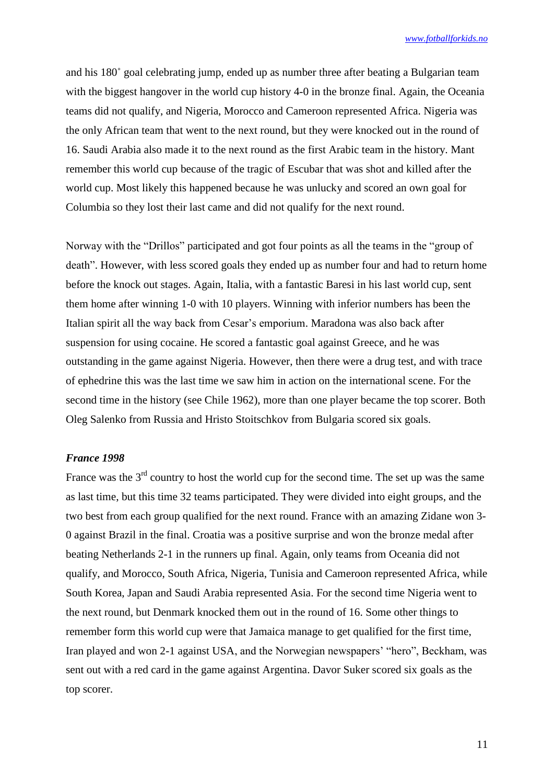and his 180˚ goal celebrating jump, ended up as number three after beating a Bulgarian team with the biggest hangover in the world cup history 4-0 in the bronze final. Again, the Oceania teams did not qualify, and Nigeria, Morocco and Cameroon represented Africa. Nigeria was the only African team that went to the next round, but they were knocked out in the round of 16. Saudi Arabia also made it to the next round as the first Arabic team in the history. Mant remember this world cup because of the tragic of Escubar that was shot and killed after the world cup. Most likely this happened because he was unlucky and scored an own goal for Columbia so they lost their last came and did not qualify for the next round.

Norway with the "Drillos" participated and got four points as all the teams in the "group of death". However, with less scored goals they ended up as number four and had to return home before the knock out stages. Again, Italia, with a fantastic Baresi in his last world cup, sent them home after winning 1-0 with 10 players. Winning with inferior numbers has been the Italian spirit all the way back from Cesar's emporium. Maradona was also back after suspension for using cocaine. He scored a fantastic goal against Greece, and he was outstanding in the game against Nigeria. However, then there were a drug test, and with trace of ephedrine this was the last time we saw him in action on the international scene. For the second time in the history (see Chile 1962), more than one player became the top scorer. Both Oleg Salenko from Russia and Hristo Stoitschkov from Bulgaria scored six goals.

## *France 1998*

France was the  $3<sup>rd</sup>$  country to host the world cup for the second time. The set up was the same as last time, but this time 32 teams participated. They were divided into eight groups, and the two best from each group qualified for the next round. France with an amazing Zidane won 3- 0 against Brazil in the final. Croatia was a positive surprise and won the bronze medal after beating Netherlands 2-1 in the runners up final. Again, only teams from Oceania did not qualify, and Morocco, South Africa, Nigeria, Tunisia and Cameroon represented Africa, while South Korea, Japan and Saudi Arabia represented Asia. For the second time Nigeria went to the next round, but Denmark knocked them out in the round of 16. Some other things to remember form this world cup were that Jamaica manage to get qualified for the first time, Iran played and won 2-1 against USA, and the Norwegian newspapers' "hero", Beckham, was sent out with a red card in the game against Argentina. Davor Suker scored six goals as the top scorer.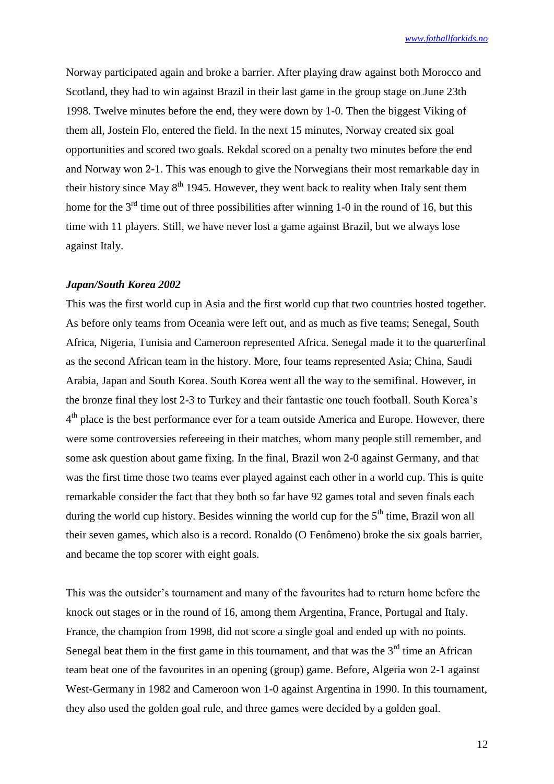Norway participated again and broke a barrier. After playing draw against both Morocco and Scotland, they had to win against Brazil in their last game in the group stage on June 23th 1998. Twelve minutes before the end, they were down by 1-0. Then the biggest Viking of them all, Jostein Flo, entered the field. In the next 15 minutes, Norway created six goal opportunities and scored two goals. Rekdal scored on a penalty two minutes before the end and Norway won 2-1. This was enough to give the Norwegians their most remarkable day in their history since May  $8<sup>th</sup>$  1945. However, they went back to reality when Italy sent them home for the  $3<sup>rd</sup>$  time out of three possibilities after winning 1-0 in the round of 16, but this time with 11 players. Still, we have never lost a game against Brazil, but we always lose against Italy.

### *Japan/South Korea 2002*

This was the first world cup in Asia and the first world cup that two countries hosted together. As before only teams from Oceania were left out, and as much as five teams; Senegal, South Africa, Nigeria, Tunisia and Cameroon represented Africa. Senegal made it to the quarterfinal as the second African team in the history. More, four teams represented Asia; China, Saudi Arabia, Japan and South Korea. South Korea went all the way to the semifinal. However, in the bronze final they lost 2-3 to Turkey and their fantastic one touch football. South Korea's 4<sup>th</sup> place is the best performance ever for a team outside America and Europe. However, there were some controversies refereeing in their matches, whom many people still remember, and some ask question about game fixing. In the final, Brazil won 2-0 against Germany, and that was the first time those two teams ever played against each other in a world cup. This is quite remarkable consider the fact that they both so far have 92 games total and seven finals each during the world cup history. Besides winning the world cup for the  $5<sup>th</sup>$  time, Brazil won all their seven games, which also is a record. Ronaldo (O Fenômeno) broke the six goals barrier, and became the top scorer with eight goals.

This was the outsider's tournament and many of the favourites had to return home before the knock out stages or in the round of 16, among them Argentina, France, Portugal and Italy. France, the champion from 1998, did not score a single goal and ended up with no points. Senegal beat them in the first game in this tournament, and that was the  $3<sup>rd</sup>$  time an African team beat one of the favourites in an opening (group) game. Before, Algeria won 2-1 against West-Germany in 1982 and Cameroon won 1-0 against Argentina in 1990. In this tournament, they also used the golden goal rule, and three games were decided by a golden goal.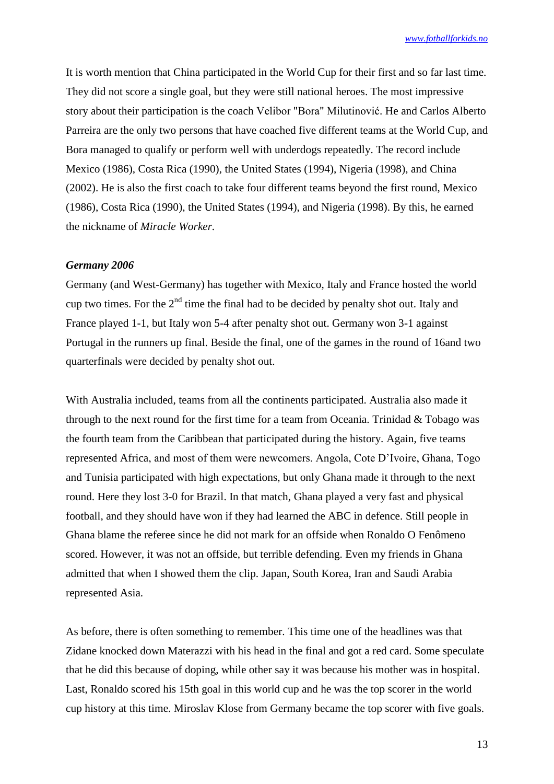It is worth mention that China participated in the World Cup for their first and so far last time. They did not score a single goal, but they were still national heroes. The most impressive story about their participation is the coach Velibor "Bora" Milutinović. He and Carlos Alberto Parreira are the only two persons that have coached five different teams at the World Cup, and Bora managed to qualify or perform well with underdogs repeatedly. The record include [Mexico](https://en.wikipedia.org/wiki/Mexico_national_football_team) [\(1986\)](https://en.wikipedia.org/wiki/1986_FIFA_World_Cup), [Costa Rica](https://en.wikipedia.org/wiki/Costa_Rica_national_football_team) [\(1990\)](https://en.wikipedia.org/wiki/1990_FIFA_World_Cup), the [United States](https://en.wikipedia.org/wiki/United_States_men%27s_national_soccer_team) [\(1994\)](https://en.wikipedia.org/wiki/1994_FIFA_World_Cup), [Nigeria](https://en.wikipedia.org/wiki/Nigeria_national_football_team) [\(1998\)](https://en.wikipedia.org/wiki/1998_FIFA_World_Cup), and [China](https://en.wikipedia.org/wiki/China_national_football_team) [\(2002\)](https://en.wikipedia.org/wiki/2002_FIFA_World_Cup). He is also the first coach to take four different teams beyond the first round, [Mexico](https://en.wikipedia.org/wiki/Mexico_national_football_team) [\(1986\)](https://en.wikipedia.org/wiki/1986_FIFA_World_Cup), [Costa Rica](https://en.wikipedia.org/wiki/Costa_Rica_national_football_team) [\(1990\)](https://en.wikipedia.org/wiki/1990_FIFA_World_Cup), the [United States](https://en.wikipedia.org/wiki/United_States_men%27s_national_soccer_team) [\(1994\)](https://en.wikipedia.org/wiki/1994_FIFA_World_Cup), and [Nigeria](https://en.wikipedia.org/wiki/Nigeria_national_football_team) [\(1998\)](https://en.wikipedia.org/wiki/1998_FIFA_World_Cup). By this, he earned the nickname of *Miracle Worker.*

## *Germany 2006*

Germany (and West-Germany) has together with Mexico, Italy and France hosted the world cup two times. For the  $2<sup>nd</sup>$  time the final had to be decided by penalty shot out. Italy and France played 1-1, but Italy won 5-4 after penalty shot out. Germany won 3-1 against Portugal in the runners up final. Beside the final, one of the games in the round of 16and two quarterfinals were decided by penalty shot out.

With Australia included, teams from all the continents participated. Australia also made it through to the next round for the first time for a team from Oceania. Trinidad & Tobago was the fourth team from the Caribbean that participated during the history. Again, five teams represented Africa, and most of them were newcomers. Angola, Cote D'Ivoire, Ghana, Togo and Tunisia participated with high expectations, but only Ghana made it through to the next round. Here they lost 3-0 for Brazil. In that match, Ghana played a very fast and physical football, and they should have won if they had learned the ABC in defence. Still people in Ghana blame the referee since he did not mark for an offside when Ronaldo O Fenômeno scored. However, it was not an offside, but terrible defending. Even my friends in Ghana admitted that when I showed them the clip. Japan, South Korea, Iran and Saudi Arabia represented Asia.

As before, there is often something to remember. This time one of the headlines was that Zidane knocked down Materazzi with his head in the final and got a red card. Some speculate that he did this because of doping, while other say it was because his mother was in hospital. Last, Ronaldo scored his 15th goal in this world cup and he was the top scorer in the world cup history at this time. Miroslav Klose from Germany became the top scorer with five goals.

13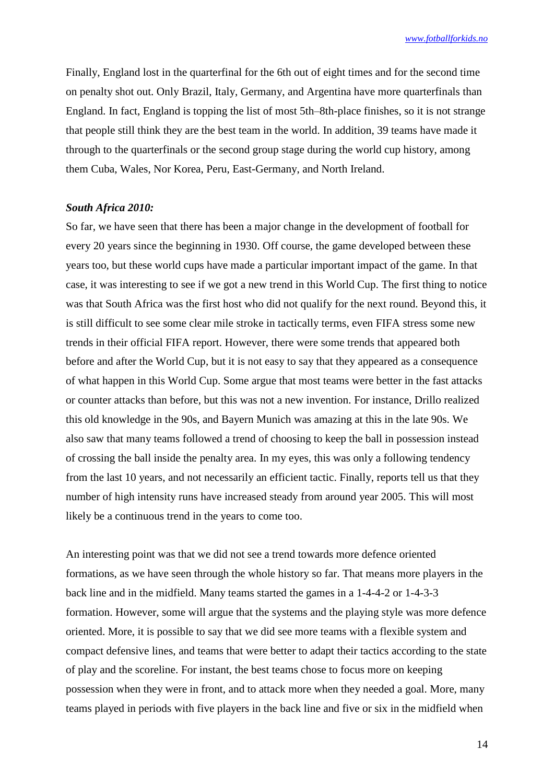Finally, England lost in the quarterfinal for the 6th out of eight times and for the second time on penalty shot out. Only Brazil, Italy, Germany, and Argentina have more quarterfinals than England. In fact, England is topping the list of most 5th–8th-place finishes, so it is not strange that people still think they are the best team in the world. In addition, 39 teams have made it through to the quarterfinals or the second group stage during the world cup history, among them Cuba, Wales, Nor Korea, Peru, East-Germany, and North Ireland.

#### *South Africa 2010:*

So far, we have seen that there has been a major change in the development of football for every 20 years since the beginning in 1930. Off course, the game developed between these years too, but these world cups have made a particular important impact of the game. In that case, it was interesting to see if we got a new trend in this World Cup. The first thing to notice was that South Africa was the first host who did not qualify for the next round. Beyond this, it is still difficult to see some clear mile stroke in tactically terms, even FIFA stress some new trends in their official FIFA report. However, there were some trends that appeared both before and after the World Cup, but it is not easy to say that they appeared as a consequence of what happen in this World Cup. Some argue that most teams were better in the fast attacks or counter attacks than before, but this was not a new invention. For instance, Drillo realized this old knowledge in the 90s, and Bayern Munich was amazing at this in the late 90s. We also saw that many teams followed a trend of choosing to keep the ball in possession instead of crossing the ball inside the penalty area. In my eyes, this was only a following tendency from the last 10 years, and not necessarily an efficient tactic. Finally, reports tell us that they number of high intensity runs have increased steady from around year 2005. This will most likely be a continuous trend in the years to come too.

An interesting point was that we did not see a trend towards more defence oriented formations, as we have seen through the whole history so far. That means more players in the back line and in the midfield. Many teams started the games in a 1-4-4-2 or 1-4-3-3 formation. However, some will argue that the systems and the playing style was more defence oriented. More, it is possible to say that we did see more teams with a flexible system and compact defensive lines, and teams that were better to adapt their tactics according to the state of play and the scoreline. For instant, the best teams chose to focus more on keeping possession when they were in front, and to attack more when they needed a goal. More, many teams played in periods with five players in the back line and five or six in the midfield when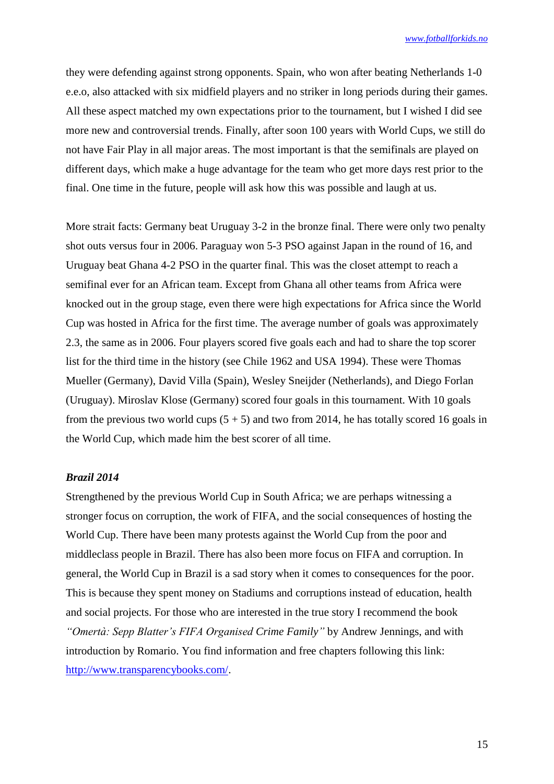they were defending against strong opponents. Spain, who won after beating Netherlands 1-0 e.e.o, also attacked with six midfield players and no striker in long periods during their games. All these aspect matched my own expectations prior to the tournament, but I wished I did see more new and controversial trends. Finally, after soon 100 years with World Cups, we still do not have Fair Play in all major areas. The most important is that the semifinals are played on different days, which make a huge advantage for the team who get more days rest prior to the final. One time in the future, people will ask how this was possible and laugh at us.

More strait facts: Germany beat Uruguay 3-2 in the bronze final. There were only two penalty shot outs versus four in 2006. Paraguay won 5-3 PSO against Japan in the round of 16, and Uruguay beat Ghana 4-2 PSO in the quarter final. This was the closet attempt to reach a semifinal ever for an African team. Except from Ghana all other teams from Africa were knocked out in the group stage, even there were high expectations for Africa since the World Cup was hosted in Africa for the first time. The average number of goals was approximately 2.3, the same as in 2006. Four players scored five goals each and had to share the top scorer list for the third time in the history (see Chile 1962 and USA 1994). These were Thomas Mueller (Germany), David Villa (Spain), Wesley Sneijder (Netherlands), and Diego Forlan (Uruguay). Miroslav Klose (Germany) scored four goals in this tournament. With 10 goals from the previous two world cups  $(5 + 5)$  and two from 2014, he has totally scored 16 goals in the World Cup, which made him the best scorer of all time.

## *Brazil 2014*

Strengthened by the previous World Cup in South Africa; we are perhaps witnessing a stronger focus on corruption, the work of FIFA, and the social consequences of hosting the World Cup. There have been many protests against the World Cup from the poor and middleclass people in Brazil. There has also been more focus on FIFA and corruption. In general, the World Cup in Brazil is a sad story when it comes to consequences for the poor. This is because they spent money on Stadiums and corruptions instead of education, health and social projects. For those who are interested in the true story I recommend the book *"Omertà: Sepp Blatter's FIFA Organised Crime Family"* by Andrew Jennings, and with introduction by Romario. You find information and free chapters following this link: [http://www.transparencybooks.com/.](http://www.transparencybooks.com/)